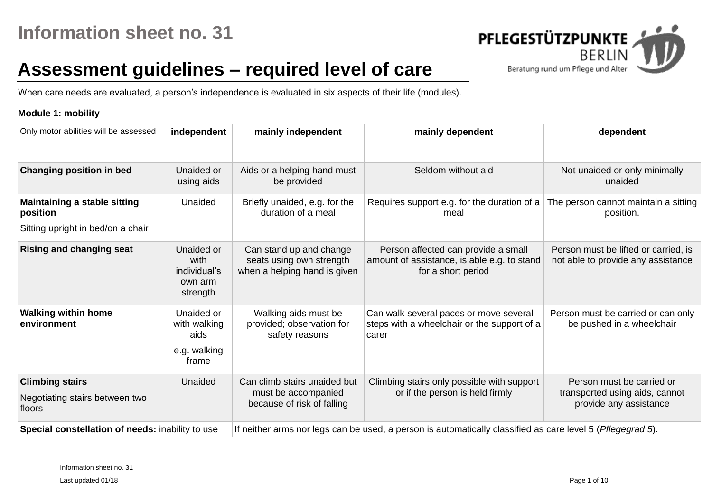

# **Assessment guidelines – required level of care**

When care needs are evaluated, a person's independence is evaluated in six aspects of their life (modules).

### **Module 1: mobility**

| Only motor abilities will be assessed                                                | independent                                                 | mainly independent                                                                                                                                                 | mainly dependent                                                                                           | dependent                                                                             |
|--------------------------------------------------------------------------------------|-------------------------------------------------------------|--------------------------------------------------------------------------------------------------------------------------------------------------------------------|------------------------------------------------------------------------------------------------------------|---------------------------------------------------------------------------------------|
| <b>Changing position in bed</b>                                                      | Unaided or<br>using aids                                    | Aids or a helping hand must<br>be provided                                                                                                                         | Seldom without aid                                                                                         | Not unaided or only minimally<br>unaided                                              |
| <b>Maintaining a stable sitting</b><br>position<br>Sitting upright in bed/on a chair | Unaided                                                     | Briefly unaided, e.g. for the<br>duration of a meal                                                                                                                | Requires support e.g. for the duration of a<br>meal                                                        | The person cannot maintain a sitting<br>position.                                     |
| <b>Rising and changing seat</b>                                                      | Unaided or<br>with<br>individual's<br>own arm<br>strength   | Can stand up and change<br>seats using own strength<br>when a helping hand is given                                                                                | Person affected can provide a small<br>amount of assistance, is able e.g. to stand<br>for a short period   | Person must be lifted or carried, is<br>not able to provide any assistance            |
| <b>Walking within home</b><br>environment                                            | Unaided or<br>with walking<br>aids<br>e.g. walking<br>frame | Walking aids must be<br>provided; observation for<br>safety reasons                                                                                                | Can walk several paces or move several<br>steps with a wheelchair or the support of a<br>carer             | Person must be carried or can only<br>be pushed in a wheelchair                       |
| <b>Climbing stairs</b><br>Negotiating stairs between two<br>floors                   | Unaided                                                     | Climbing stairs only possible with support<br>Can climb stairs unaided but<br>or if the person is held firmly<br>must be accompanied<br>because of risk of falling |                                                                                                            | Person must be carried or<br>transported using aids, cannot<br>provide any assistance |
| Special constellation of needs: inability to use                                     |                                                             |                                                                                                                                                                    | If neither arms nor legs can be used, a person is automatically classified as care level 5 (Pflegegrad 5). |                                                                                       |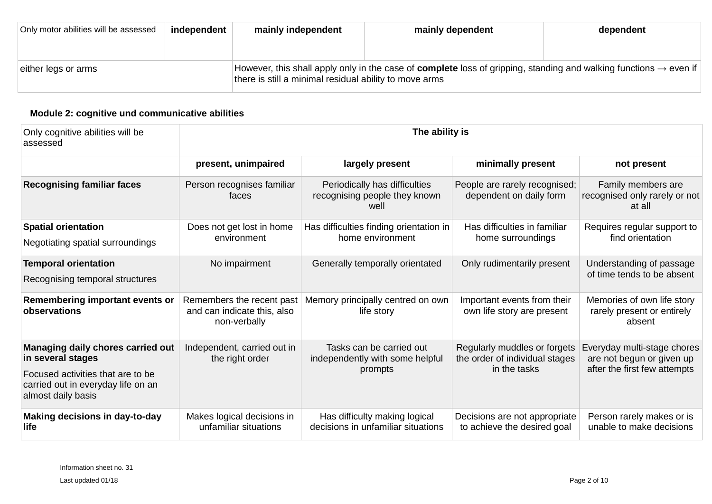| Only motor abilities will be assessed | independent | mainly independent                                                                                                                                                                             | mainly dependent | dependent |  |  |
|---------------------------------------|-------------|------------------------------------------------------------------------------------------------------------------------------------------------------------------------------------------------|------------------|-----------|--|--|
|                                       |             |                                                                                                                                                                                                |                  |           |  |  |
| either legs or arms                   |             | However, this shall apply only in the case of <b>complete</b> loss of gripping, standing and walking functions $\rightarrow$ even if<br>there is still a minimal residual ability to move arms |                  |           |  |  |

### **Module 2: cognitive und communicative abilities**

| Only cognitive abilities will be<br>assessed                                                                                                            | The ability is                                                           |                                                                                                                                    |                                                                                |                                                                                          |  |  |
|---------------------------------------------------------------------------------------------------------------------------------------------------------|--------------------------------------------------------------------------|------------------------------------------------------------------------------------------------------------------------------------|--------------------------------------------------------------------------------|------------------------------------------------------------------------------------------|--|--|
|                                                                                                                                                         | present, unimpaired                                                      | largely present                                                                                                                    | minimally present                                                              | not present                                                                              |  |  |
| <b>Recognising familiar faces</b>                                                                                                                       | Person recognises familiar<br>faces                                      | Periodically has difficulties<br>People are rarely recognised;<br>recognising people they known<br>dependent on daily form<br>well |                                                                                | Family members are<br>recognised only rarely or not<br>at all                            |  |  |
| <b>Spatial orientation</b><br>Negotiating spatial surroundings                                                                                          | Does not get lost in home<br>environment                                 | Has difficulties finding orientation in<br>home environment                                                                        | Has difficulties in familiar<br>home surroundings                              | Requires regular support to<br>find orientation                                          |  |  |
| <b>Temporal orientation</b><br>Recognising temporal structures                                                                                          | No impairment                                                            | Generally temporally orientated                                                                                                    | Only rudimentarily present                                                     | Understanding of passage<br>of time tends to be absent                                   |  |  |
| Remembering important events or<br>observations                                                                                                         | Remembers the recent past<br>and can indicate this, also<br>non-verbally | Memory principally centred on own<br>life story                                                                                    | Important events from their<br>own life story are present                      | Memories of own life story<br>rarely present or entirely<br>absent                       |  |  |
| Managing daily chores carried out<br>in several stages<br>Focused activities that are to be<br>carried out in everyday life on an<br>almost daily basis | Independent, carried out in<br>the right order                           | Tasks can be carried out<br>independently with some helpful<br>prompts                                                             | Regularly muddles or forgets<br>the order of individual stages<br>in the tasks | Everyday multi-stage chores<br>are not begun or given up<br>after the first few attempts |  |  |
| Making decisions in day-to-day<br>life                                                                                                                  | Makes logical decisions in<br>unfamiliar situations                      | Has difficulty making logical<br>decisions in unfamiliar situations                                                                | Decisions are not appropriate<br>to achieve the desired goal                   | Person rarely makes or is<br>unable to make decisions                                    |  |  |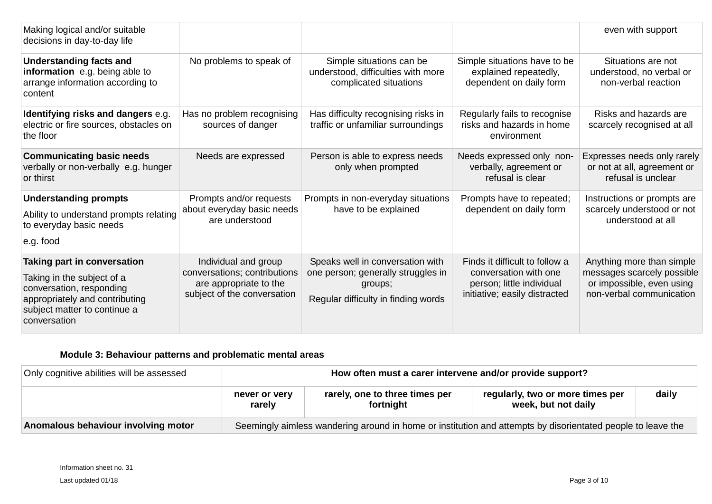| Making logical and/or suitable<br>decisions in day-to-day life                                                                                                          |                                                                                                               |                                                                                                                          |                                                                                                                       | even with support                                                                                                |
|-------------------------------------------------------------------------------------------------------------------------------------------------------------------------|---------------------------------------------------------------------------------------------------------------|--------------------------------------------------------------------------------------------------------------------------|-----------------------------------------------------------------------------------------------------------------------|------------------------------------------------------------------------------------------------------------------|
| <b>Understanding facts and</b><br>information e.g. being able to<br>arrange information according to<br>content                                                         | No problems to speak of                                                                                       | Simple situations can be<br>understood, difficulties with more<br>complicated situations                                 | Simple situations have to be<br>explained repeatedly,<br>dependent on daily form                                      | Situations are not<br>understood, no verbal or<br>non-verbal reaction                                            |
| Identifying risks and dangers e.g.<br>electric or fire sources, obstacles on<br>the floor                                                                               | Has no problem recognising<br>sources of danger                                                               | Has difficulty recognising risks in<br>traffic or unfamiliar surroundings                                                | Regularly fails to recognise<br>risks and hazards in home<br>environment                                              | Risks and hazards are<br>scarcely recognised at all                                                              |
| <b>Communicating basic needs</b><br>verbally or non-verbally e.g. hunger<br>or thirst                                                                                   | Needs are expressed                                                                                           | Person is able to express needs<br>only when prompted                                                                    | Needs expressed only non-<br>verbally, agreement or<br>refusal is clear                                               | Expresses needs only rarely<br>or not at all, agreement or<br>refusal is unclear                                 |
| <b>Understanding prompts</b><br>Ability to understand prompts relating<br>to everyday basic needs<br>e.g. food                                                          | Prompts and/or requests<br>about everyday basic needs<br>are understood                                       | Prompts in non-everyday situations<br>have to be explained                                                               | Prompts have to repeated;<br>dependent on daily form                                                                  | Instructions or prompts are<br>scarcely understood or not<br>understood at all                                   |
| Taking part in conversation<br>Taking in the subject of a<br>conversation, responding<br>appropriately and contributing<br>subject matter to continue a<br>conversation | Individual and group<br>conversations; contributions<br>are appropriate to the<br>subject of the conversation | Speaks well in conversation with<br>one person; generally struggles in<br>groups;<br>Regular difficulty in finding words | Finds it difficult to follow a<br>conversation with one<br>person; little individual<br>initiative; easily distracted | Anything more than simple<br>messages scarcely possible<br>or impossible, even using<br>non-verbal communication |

## **Module 3: Behaviour patterns and problematic mental areas**

| Only cognitive abilities will be assessed | How often must a carer intervene and/or provide support?                                                    |                                             |                                                         |       |  |  |
|-------------------------------------------|-------------------------------------------------------------------------------------------------------------|---------------------------------------------|---------------------------------------------------------|-------|--|--|
|                                           | never or very<br>rarely                                                                                     | rarely, one to three times per<br>fortnight | regularly, two or more times per<br>week, but not daily | daily |  |  |
| Anomalous behaviour involving motor       | Seemingly aimless wandering around in home or institution and attempts by disorientated people to leave the |                                             |                                                         |       |  |  |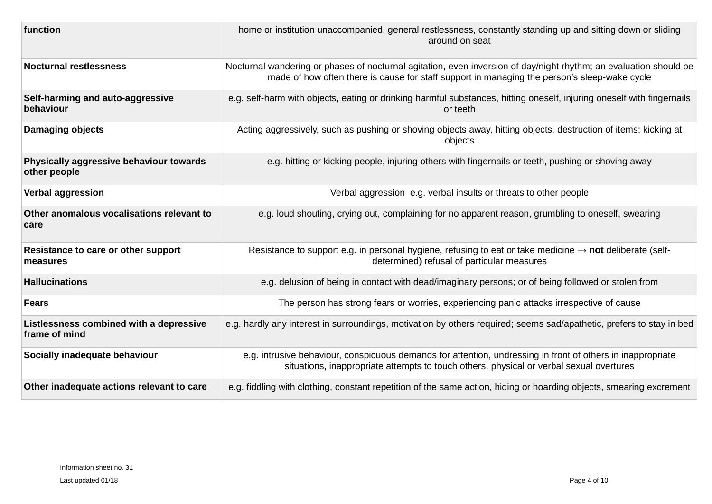| function                                                 | home or institution unaccompanied, general restlessness, constantly standing up and sitting down or sliding<br>around on seat                                                                                     |
|----------------------------------------------------------|-------------------------------------------------------------------------------------------------------------------------------------------------------------------------------------------------------------------|
| <b>Nocturnal restlessness</b>                            | Nocturnal wandering or phases of nocturnal agitation, even inversion of day/night rhythm; an evaluation should be<br>made of how often there is cause for staff support in managing the person's sleep-wake cycle |
| Self-harming and auto-aggressive<br>behaviour            | e.g. self-harm with objects, eating or drinking harmful substances, hitting oneself, injuring oneself with fingernails<br>or teeth                                                                                |
| <b>Damaging objects</b>                                  | Acting aggressively, such as pushing or shoving objects away, hitting objects, destruction of items; kicking at<br>objects                                                                                        |
| Physically aggressive behaviour towards<br>other people  | e.g. hitting or kicking people, injuring others with fingernails or teeth, pushing or shoving away                                                                                                                |
| <b>Verbal aggression</b>                                 | Verbal aggression e.g. verbal insults or threats to other people                                                                                                                                                  |
| Other anomalous vocalisations relevant to<br>care        | e.g. loud shouting, crying out, complaining for no apparent reason, grumbling to oneself, swearing                                                                                                                |
| Resistance to care or other support<br>measures          | Resistance to support e.g. in personal hygiene, refusing to eat or take medicine $\rightarrow$ <b>not</b> deliberate (self-<br>determined) refusal of particular measures                                         |
| <b>Hallucinations</b>                                    | e.g. delusion of being in contact with dead/imaginary persons; or of being followed or stolen from                                                                                                                |
| <b>Fears</b>                                             | The person has strong fears or worries, experiencing panic attacks irrespective of cause                                                                                                                          |
| Listlessness combined with a depressive<br>frame of mind | e.g. hardly any interest in surroundings, motivation by others required; seems sad/apathetic, prefers to stay in bed                                                                                              |
| Socially inadequate behaviour                            | e.g. intrusive behaviour, conspicuous demands for attention, undressing in front of others in inappropriate<br>situations, inappropriate attempts to touch others, physical or verbal sexual overtures            |
| Other inadequate actions relevant to care                | e.g. fiddling with clothing, constant repetition of the same action, hiding or hoarding objects, smearing excrement                                                                                               |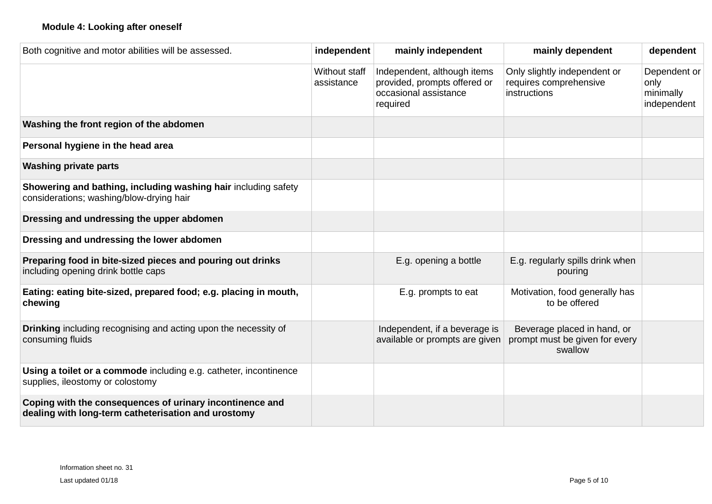| Both cognitive and motor abilities will be assessed.                                                            | independent                 | mainly independent                                                                               | mainly dependent                                                         | dependent                                        |
|-----------------------------------------------------------------------------------------------------------------|-----------------------------|--------------------------------------------------------------------------------------------------|--------------------------------------------------------------------------|--------------------------------------------------|
|                                                                                                                 | Without staff<br>assistance | Independent, although items<br>provided, prompts offered or<br>occasional assistance<br>required | Only slightly independent or<br>requires comprehensive<br>instructions   | Dependent or<br>only<br>minimally<br>independent |
| Washing the front region of the abdomen                                                                         |                             |                                                                                                  |                                                                          |                                                  |
| Personal hygiene in the head area                                                                               |                             |                                                                                                  |                                                                          |                                                  |
| <b>Washing private parts</b>                                                                                    |                             |                                                                                                  |                                                                          |                                                  |
| Showering and bathing, including washing hair including safety<br>considerations; washing/blow-drying hair      |                             |                                                                                                  |                                                                          |                                                  |
| Dressing and undressing the upper abdomen                                                                       |                             |                                                                                                  |                                                                          |                                                  |
| Dressing and undressing the lower abdomen                                                                       |                             |                                                                                                  |                                                                          |                                                  |
| Preparing food in bite-sized pieces and pouring out drinks<br>including opening drink bottle caps               |                             | E.g. opening a bottle                                                                            | E.g. regularly spills drink when<br>pouring                              |                                                  |
| Eating: eating bite-sized, prepared food; e.g. placing in mouth,<br>chewing                                     |                             | E.g. prompts to eat                                                                              | Motivation, food generally has<br>to be offered                          |                                                  |
| <b>Drinking</b> including recognising and acting upon the necessity of<br>consuming fluids                      |                             | Independent, if a beverage is<br>available or prompts are given                                  | Beverage placed in hand, or<br>prompt must be given for every<br>swallow |                                                  |
| Using a toilet or a commode including e.g. catheter, incontinence<br>supplies, ileostomy or colostomy           |                             |                                                                                                  |                                                                          |                                                  |
| Coping with the consequences of urinary incontinence and<br>dealing with long-term catheterisation and urostomy |                             |                                                                                                  |                                                                          |                                                  |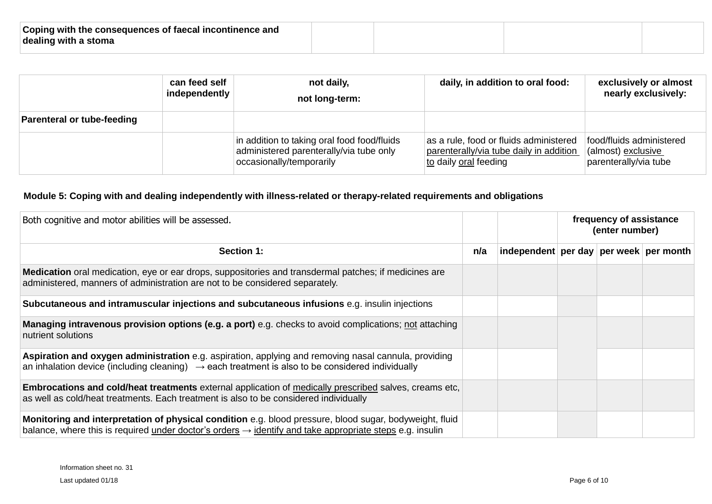| Coping with the consequences of faecal incontinence and |  |  |
|---------------------------------------------------------|--|--|
| dealing with a stoma                                    |  |  |
|                                                         |  |  |

|                                   | can feed self<br>independently | not daily,<br>not long-term:                                                                                       | daily, in addition to oral food:                                                                           | exclusively or almost<br>nearly exclusively:                            |
|-----------------------------------|--------------------------------|--------------------------------------------------------------------------------------------------------------------|------------------------------------------------------------------------------------------------------------|-------------------------------------------------------------------------|
| <b>Parenteral or tube-feeding</b> |                                |                                                                                                                    |                                                                                                            |                                                                         |
|                                   |                                | in addition to taking oral food food/fluids<br>administered parenterally/via tube only<br>occasionally/temporarily | as a rule, food or fluids administered<br>parenterally/via tube daily in addition<br>to daily oral feeding | food/fluids administered<br>(almost) exclusive<br>parenterally/via tube |

# **Module 5: Coping with and dealing independently with illness-related or therapy-related requirements and obligations**

| Both cognitive and motor abilities will be assessed.                                                                                                                                                                            |     |                                        | frequency of assistance<br>(enter number) |  |  |  |  |
|---------------------------------------------------------------------------------------------------------------------------------------------------------------------------------------------------------------------------------|-----|----------------------------------------|-------------------------------------------|--|--|--|--|
| <b>Section 1:</b>                                                                                                                                                                                                               | n/a | independent per day per week per month |                                           |  |  |  |  |
| Medication oral medication, eye or ear drops, suppositories and transdermal patches; if medicines are<br>administered, manners of administration are not to be considered separately.                                           |     |                                        |                                           |  |  |  |  |
| Subcutaneous and intramuscular injections and subcutaneous infusions e.g. insulin injections                                                                                                                                    |     |                                        |                                           |  |  |  |  |
| <b>Managing intravenous provision options (e.g. a port)</b> e.g. checks to avoid complications; not attaching<br>nutrient solutions                                                                                             |     |                                        |                                           |  |  |  |  |
| Aspiration and oxygen administration e.g. aspiration, applying and removing nasal cannula, providing<br>an inhalation device (including cleaning) $\rightarrow$ each treatment is also to be considered individually            |     |                                        |                                           |  |  |  |  |
| Embrocations and cold/heat treatments external application of medically prescribed salves, creams etc,<br>as well as cold/heat treatments. Each treatment is also to be considered individually                                 |     |                                        |                                           |  |  |  |  |
| Monitoring and interpretation of physical condition e.g. blood pressure, blood sugar, bodyweight, fluid<br>balance, where this is required under doctor's orders $\rightarrow$ identify and take appropriate steps e.g. insulin |     |                                        |                                           |  |  |  |  |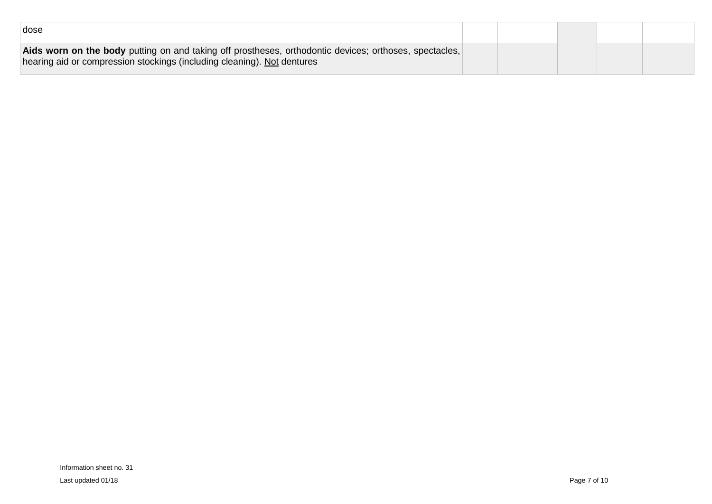| dose                                                                                                                                                                              |  |  |  |
|-----------------------------------------------------------------------------------------------------------------------------------------------------------------------------------|--|--|--|
| Aids worn on the body putting on and taking off prostheses, orthodontic devices; orthoses, spectacles,<br>hearing aid or compression stockings (including cleaning). Not dentures |  |  |  |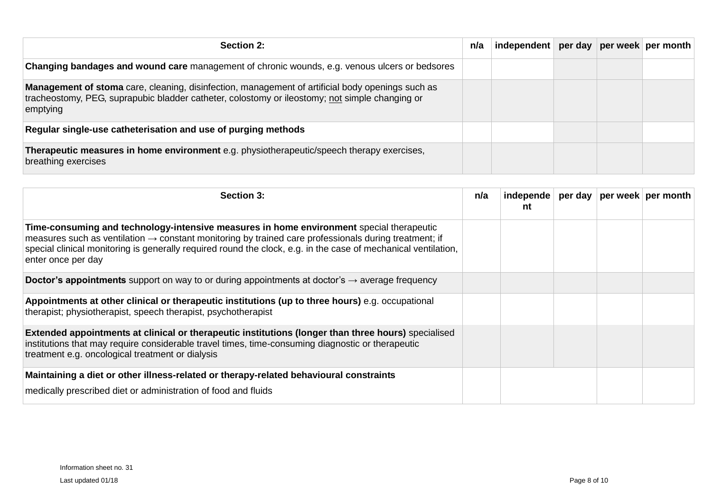| Section 2:                                                                                                                                                                                                            | n/a | independent per day per week per month |  |  |
|-----------------------------------------------------------------------------------------------------------------------------------------------------------------------------------------------------------------------|-----|----------------------------------------|--|--|
| <b>Changing bandages and wound care</b> management of chronic wounds, e.g. venous ulcers or bedsores                                                                                                                  |     |                                        |  |  |
| <b>Management of stoma</b> care, cleaning, disinfection, management of artificial body openings such as<br>tracheostomy, PEG, suprapubic bladder catheter, colostomy or ileostomy; not simple changing or<br>emptying |     |                                        |  |  |
| Regular single-use catheterisation and use of purging methods                                                                                                                                                         |     |                                        |  |  |
| Therapeutic measures in home environment e.g. physiotherapeutic/speech therapy exercises,<br>breathing exercises                                                                                                      |     |                                        |  |  |

| Section 3:                                                                                                                                                                                                                                                                                                                                            | n/a | independe<br>nt |  | per day   per week   per month |
|-------------------------------------------------------------------------------------------------------------------------------------------------------------------------------------------------------------------------------------------------------------------------------------------------------------------------------------------------------|-----|-----------------|--|--------------------------------|
| Time-consuming and technology-intensive measures in home environment special therapeutic<br>measures such as ventilation $\rightarrow$ constant monitoring by trained care professionals during treatment; if<br>special clinical monitoring is generally required round the clock, e.g. in the case of mechanical ventilation,<br>enter once per day |     |                 |  |                                |
| <b>Doctor's appointments</b> support on way to or during appointments at doctor's $\rightarrow$ average frequency                                                                                                                                                                                                                                     |     |                 |  |                                |
| Appointments at other clinical or therapeutic institutions (up to three hours) e.g. occupational<br>therapist; physiotherapist, speech therapist, psychotherapist                                                                                                                                                                                     |     |                 |  |                                |
| <b>Extended appointments at clinical or therapeutic institutions (longer than three hours)</b> specialised<br>institutions that may require considerable travel times, time-consuming diagnostic or therapeutic<br>treatment e.g. oncological treatment or dialysis                                                                                   |     |                 |  |                                |
| Maintaining a diet or other illness-related or therapy-related behavioural constraints<br>medically prescribed diet or administration of food and fluids                                                                                                                                                                                              |     |                 |  |                                |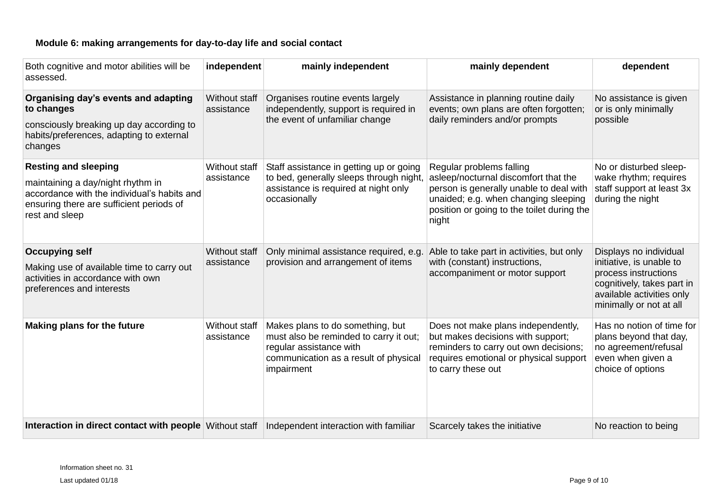## **Module 6: making arrangements for day-to-day life and social contact**

| Both cognitive and motor abilities will be<br>assessed.                                                                                                                       | independent                        | mainly independent                                                                                                                                           | mainly dependent                                                                                                                                                                                           | dependent                                                                                                                                                        |
|-------------------------------------------------------------------------------------------------------------------------------------------------------------------------------|------------------------------------|--------------------------------------------------------------------------------------------------------------------------------------------------------------|------------------------------------------------------------------------------------------------------------------------------------------------------------------------------------------------------------|------------------------------------------------------------------------------------------------------------------------------------------------------------------|
| Organising day's events and adapting<br>to changes<br>consciously breaking up day according to<br>habits/preferences, adapting to external<br>changes                         | <b>Without staff</b><br>assistance | Organises routine events largely<br>independently, support is required in<br>the event of unfamiliar change                                                  | Assistance in planning routine daily<br>events; own plans are often forgotten;<br>daily reminders and/or prompts                                                                                           | No assistance is given<br>or is only minimally<br>possible                                                                                                       |
| <b>Resting and sleeping</b><br>maintaining a day/night rhythm in<br>accordance with the individual's habits and<br>ensuring there are sufficient periods of<br>rest and sleep | Without staff<br>assistance        | Staff assistance in getting up or going<br>to bed, generally sleeps through night,<br>assistance is required at night only<br>occasionally                   | Regular problems falling<br>asleep/nocturnal discomfort that the<br>person is generally unable to deal with<br>unaided; e.g. when changing sleeping<br>position or going to the toilet during the<br>night | No or disturbed sleep-<br>wake rhythm; requires<br>staff support at least 3x<br>during the night                                                                 |
| <b>Occupying self</b><br>Making use of available time to carry out<br>activities in accordance with own<br>preferences and interests                                          | <b>Without staff</b><br>assistance | Only minimal assistance required, e.g.<br>provision and arrangement of items                                                                                 | Able to take part in activities, but only<br>with (constant) instructions,<br>accompaniment or motor support                                                                                               | Displays no individual<br>initiative, is unable to<br>process instructions<br>cognitively, takes part in<br>available activities only<br>minimally or not at all |
| <b>Making plans for the future</b>                                                                                                                                            | Without staff<br>assistance        | Makes plans to do something, but<br>must also be reminded to carry it out;<br>regular assistance with<br>communication as a result of physical<br>impairment | Does not make plans independently,<br>but makes decisions with support;<br>reminders to carry out own decisions;<br>requires emotional or physical support<br>to carry these out                           | Has no notion of time for<br>plans beyond that day,<br>no agreement/refusal<br>even when given a<br>choice of options                                            |
| Interaction in direct contact with people Without staff                                                                                                                       |                                    | Independent interaction with familiar                                                                                                                        | Scarcely takes the initiative                                                                                                                                                                              | No reaction to being                                                                                                                                             |